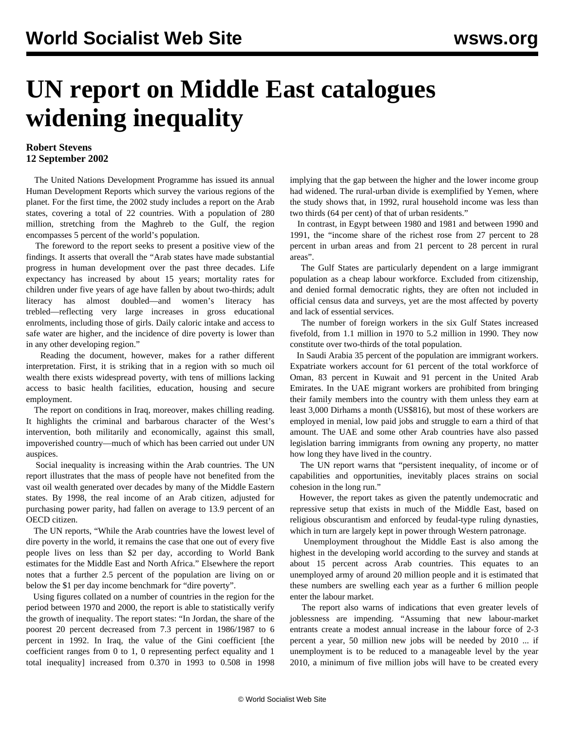## **UN report on Middle East catalogues widening inequality**

## **Robert Stevens 12 September 2002**

 The United Nations Development Programme has issued its annual Human Development Reports which survey the various regions of the planet. For the first time, the 2002 study includes a report on the Arab states, covering a total of 22 countries. With a population of 280 million, stretching from the Maghreb to the Gulf, the region encompasses 5 percent of the world's population.

 The foreword to the report seeks to present a positive view of the findings. It asserts that overall the "Arab states have made substantial progress in human development over the past three decades. Life expectancy has increased by about 15 years; mortality rates for children under five years of age have fallen by about two-thirds; adult literacy has almost doubled—and women's literacy has trebled—reflecting very large increases in gross educational enrolments, including those of girls. Daily caloric intake and access to safe water are higher, and the incidence of dire poverty is lower than in any other developing region."

 Reading the document, however, makes for a rather different interpretation. First, it is striking that in a region with so much oil wealth there exists widespread poverty, with tens of millions lacking access to basic health facilities, education, housing and secure employment.

 The report on conditions in Iraq, moreover, makes chilling reading. It highlights the criminal and barbarous character of the West's intervention, both militarily and economically, against this small, impoverished country—much of which has been carried out under UN auspices.

 Social inequality is increasing within the Arab countries. The UN report illustrates that the mass of people have not benefited from the vast oil wealth generated over decades by many of the Middle Eastern states. By 1998, the real income of an Arab citizen, adjusted for purchasing power parity, had fallen on average to 13.9 percent of an OECD citizen.

 The UN reports, "While the Arab countries have the lowest level of dire poverty in the world, it remains the case that one out of every five people lives on less than \$2 per day, according to World Bank estimates for the Middle East and North Africa." Elsewhere the report notes that a further 2.5 percent of the population are living on or below the \$1 per day income benchmark for "dire poverty".

 Using figures collated on a number of countries in the region for the period between 1970 and 2000, the report is able to statistically verify the growth of inequality. The report states: "In Jordan, the share of the poorest 20 percent decreased from 7.3 percent in 1986/1987 to 6 percent in 1992. In Iraq, the value of the Gini coefficient [the coefficient ranges from 0 to 1, 0 representing perfect equality and 1 total inequality] increased from 0.370 in 1993 to 0.508 in 1998

implying that the gap between the higher and the lower income group had widened. The rural-urban divide is exemplified by Yemen, where the study shows that, in 1992, rural household income was less than two thirds (64 per cent) of that of urban residents."

 In contrast, in Egypt between 1980 and 1981 and between 1990 and 1991, the "income share of the richest rose from 27 percent to 28 percent in urban areas and from 21 percent to 28 percent in rural areas".

 The Gulf States are particularly dependent on a large immigrant population as a cheap labour workforce. Excluded from citizenship, and denied formal democratic rights, they are often not included in official census data and surveys, yet are the most affected by poverty and lack of essential services.

 The number of foreign workers in the six Gulf States increased fivefold, from 1.1 million in 1970 to 5.2 million in 1990. They now constitute over two-thirds of the total population.

 In Saudi Arabia 35 percent of the population are immigrant workers. Expatriate workers account for 61 percent of the total workforce of Oman, 83 percent in Kuwait and 91 percent in the United Arab Emirates. In the UAE migrant workers are prohibited from bringing their family members into the country with them unless they earn at least 3,000 Dirhams a month (US\$816), but most of these workers are employed in menial, low paid jobs and struggle to earn a third of that amount. The UAE and some other Arab countries have also passed legislation barring immigrants from owning any property, no matter how long they have lived in the country.

 The UN report warns that "persistent inequality, of income or of capabilities and opportunities, inevitably places strains on social cohesion in the long run."

 However, the report takes as given the patently undemocratic and repressive setup that exists in much of the Middle East, based on religious obscurantism and enforced by feudal-type ruling dynasties, which in turn are largely kept in power through Western patronage.

 Unemployment throughout the Middle East is also among the highest in the developing world according to the survey and stands at about 15 percent across Arab countries. This equates to an unemployed army of around 20 million people and it is estimated that these numbers are swelling each year as a further 6 million people enter the labour market.

 The report also warns of indications that even greater levels of joblessness are impending. "Assuming that new labour-market entrants create a modest annual increase in the labour force of 2-3 percent a year, 50 million new jobs will be needed by 2010 ... if unemployment is to be reduced to a manageable level by the year 2010, a minimum of five million jobs will have to be created every